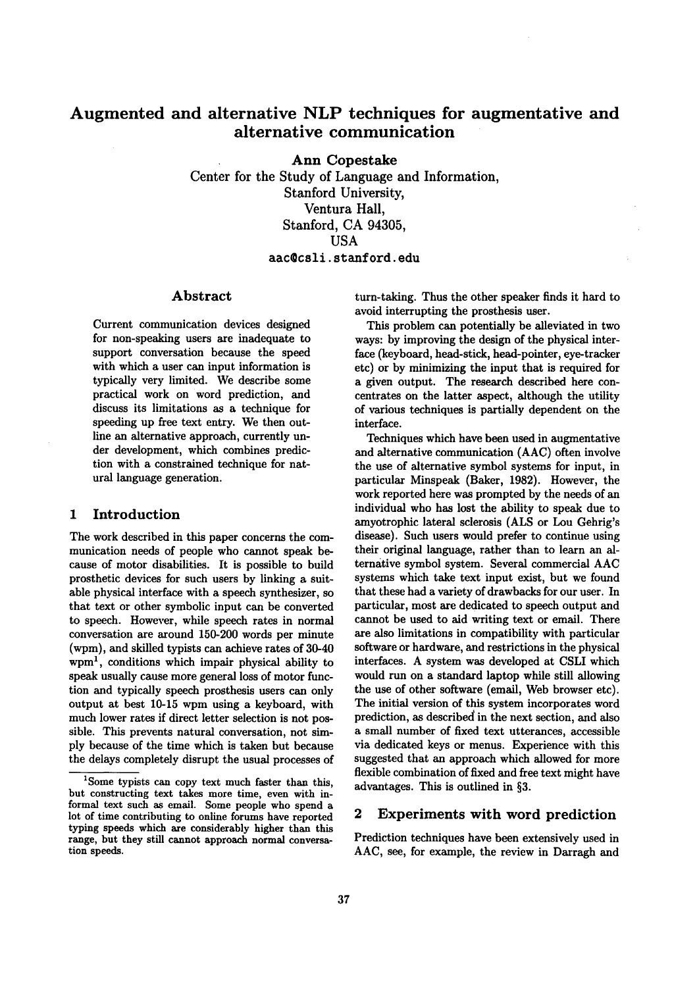# **Augmented and alternative NLP techniques for augmentative and alternative communication**

Ann Copestake Center for the Study of Language and Information, Stanford University, Ventura Hall, Stanford, CA 94305, **USA**  aac@csli, stanford, edu

## Abstract

Current communication devices designed for non-speaking users are inadequate to support conversation because the speed with which a user can input information is typically very limited. We describe some practical work on word prediction, and discuss its limitations as a technique for speeding up free text entry. We then outline an alternative approach, currently under development, which combines prediction with a constrained technique for natural language generation.

### 1 Introduction

The work described in this paper concerns the communication needs of people who cannot speak because of motor disabilities. It is possible to build prosthetic devices for such users by linking a suitable physical interface with a speech synthesizer, so that text or other symbolic input can be converted to speech. However, while speech rates in normal conversation are around 150-200 words per minute (wpm), and skilled typists can achieve rates of 30-40  $wpm<sup>1</sup>$ , conditions which impair physical ability to speak usually cause more general loss of motor function and typically speech prosthesis users can only output at best 10-15 wpm using a keyboard, with much lower rates if direct letter selection is not possible. This prevents natural conversation, not simply because of the time which is taken but because the delays completely disrupt the usual processes of turn-taking. Thus the other speaker finds it hard to avoid interrupting the prosthesis user.

This problem can potentially be alleviated in two ways: by improving the design of the physical interface (keyboard, head-stick, head-pointer, eye-tracker etc) or by minimizing the input that is required for a given output. The research described here concentrates on the latter aspect, although the utility of various techniques is partially dependent on the interface.

Techniques which have been used in augmentative and alternative communication (AAC) often involve the use of alternative symbol systems for input, in particular Minspeak (Baker, 1982). However, the work reported here was prompted by the needs of an individual who has lost the ability to speak due to amyotrophic lateral sclerosis (ALS or Lou Gehrig's disease). Such users would prefer to continue using their original language, rather than to learn an alternative symbol system. Several commercial AAC systems which take text input exist, but we found that these had a variety of drawbacks for our user. In particular, most are dedicated to speech output and cannot be used to aid writing text or email. There are also limitations in compatibility with particular software or hardware, and restrictions in the physical interfaces. A system was developed at CSLI which would run on a standard laptop while still allowing the use of other software (email, Web browser etc). The initial version of this system incorporates word prediction, as described in the next section, and also a small number of fixed text utterances, accessible via dedicated keys or menus. Experience with this suggested that an approach which allowed for more flexible combination of fixed and free text might have advantages. This is outlined in §3.

# 2 Experiments with word prediction

Prediction techniques have been extensively used in AAC, see, for example, the review in Darragh and

<sup>&</sup>lt;sup>1</sup>Some typists can copy text much faster than this, but constructing text takes more time, even with informal text such as email. Some people who spend a lot of time contributing to online forums have reported typing speeds which are considerably higher than this range, but they still cannot approach normal conversation speeds.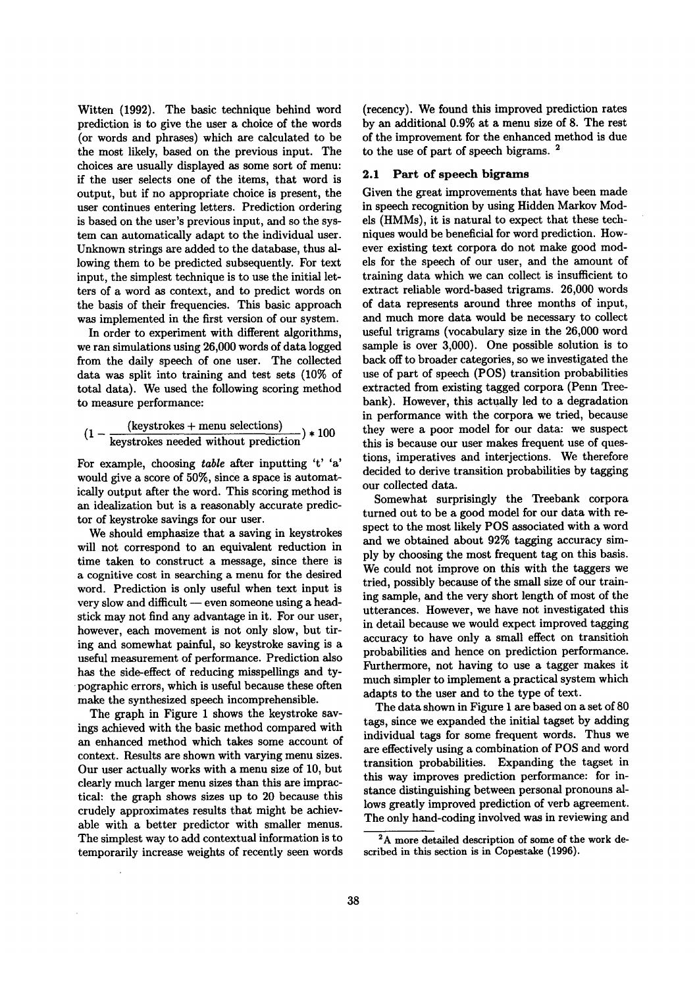Witten (1992). The basic technique behind word prediction is to give the user a choice of the words (or words and phrases) which are calculated to be the most likely, based on the previous input. The choices are usually displayed as some sort of menu: if the user selects one of the items, that word is output, but if no appropriate choice is present, the user continues entering letters. Prediction ordering is based on the user's previous input, and so the system can automatically adapt to the individual user. Unknown strings are added to the database, thus allowing them to be predicted subsequently. For text input, the simplest technique is to use the initial letters of a word as context, and to predict words on the basis of their frequencies. This basic approach was implemented in the first version of our system.

In order to experiment with different algorithms, we ran simulations using 26,000 words of data logged from the daily speech of one user. The collected data was split into training and test sets (10% of total data). We used the following scoring method to measure performance:

$$
(1 - \frac{(\text{keystrokes + menu selections})}{\text{keys trokes needed without prediction}}) * 100
$$

For example, choosing *table* after inputting 't' 'a' would give a score of 50%, since a space is automatically output after the word. This scoring method is an idealization but is a reasonably accurate predictor of keystroke savings for our user.

We should emphasize that a saving in keystrokes will not correspond to an equivalent reduction in time taken to construct a message, since there is a cognitive cost in searching a menu for the desired word. Prediction is only useful when text input is very slow and difficult  $-$  even someone using a headstick may not find any advantage in it. For our user, however, each movement is not only slow, but tiring and somewhat painful, so keystroke saving is a useful measurement of performance. Prediction also has the side-effect of reducing misspellings and typographic errors, which is useful because these often make the synthesized speech incomprehensible.

The graph in Figure 1 shows the keystroke savings achieved with the basic method compared with an enhanced method which takes some account of context. Results are shown with varying menu sizes. Our user actually works with a menu size of 10, but clearly much larger menu sizes than this are impractical: the graph shows sizes up to 20 because this crudely approximates results that might be achievable with a better predictor with smaller menus. The simplest way to add contextual information is to temporarily increase weights of recently seen words

(recency). We found this improved prediction rates by an additional 0.9% at a menu size of 8. The rest of the improvement for the enhanced method is due to the use of part of speech bigrams. 2

#### **2.1 Part of speech bigrams**

Given the great improvements that have been made in speech recognition by using Hidden Markov Models (HMMs), it is natural to expect that these techniques would be beneficial for word prediction. However existing text corpora do not make good models for the speech of our user, and the amount of training data which we can collect is insufficient to extract reliable word-based trigrams. 26,000 words of data represents around three months of input, and much more data would be necessary to collect useful trigrams (vocabulary size in the 26,000 word sample is over 3,000). One possible solution is to back off to broader categories, so we investigated the use of part of speech (POS) transition probabilities extracted from existing tagged corpora (Penn Treebank). However, this actually led to a degradation in performance with the corpora we tried, because they were a poor model for our data: we suspect this is because our user makes frequent use of questions, imperatives and interjections. We therefore decided to derive transition probabilities by tagging our collected data.

Somewhat surprisingly the Treebank corpora turned out to be a good model for our data with respect to the most likely POS associated with a word and we obtained about 92% tagging accuracy simply by choosing the most frequent tag on this basis. We could not improve on this with the taggers we tried, possibly because of the small size of our training sample, and the very short length of most of the utterances. However, we have not investigated this in detail because we would expect improved tagging accuracy to have only a small effect on transition probabilities and hence on prediction performance. Furthermore, not having to use a tagger makes it much simpler to implement a practical system which adapts to the user and to the type of text.

The data shown in Figure 1 are based on a set of 80 tags, since we expanded the initial tagset by adding individual tags for some frequent words. Thus we are effectively using a combination of POS and word transition probabilities. Expanding the tagset in this way improves prediction performance: for instance distinguishing between personal pronouns allows greatly improved prediction of verb agreement. The only hand-coding involved was in reviewing and

<sup>&</sup>lt;sup>2</sup>A more detailed description of some of the work described in this section is in Copestake (1996).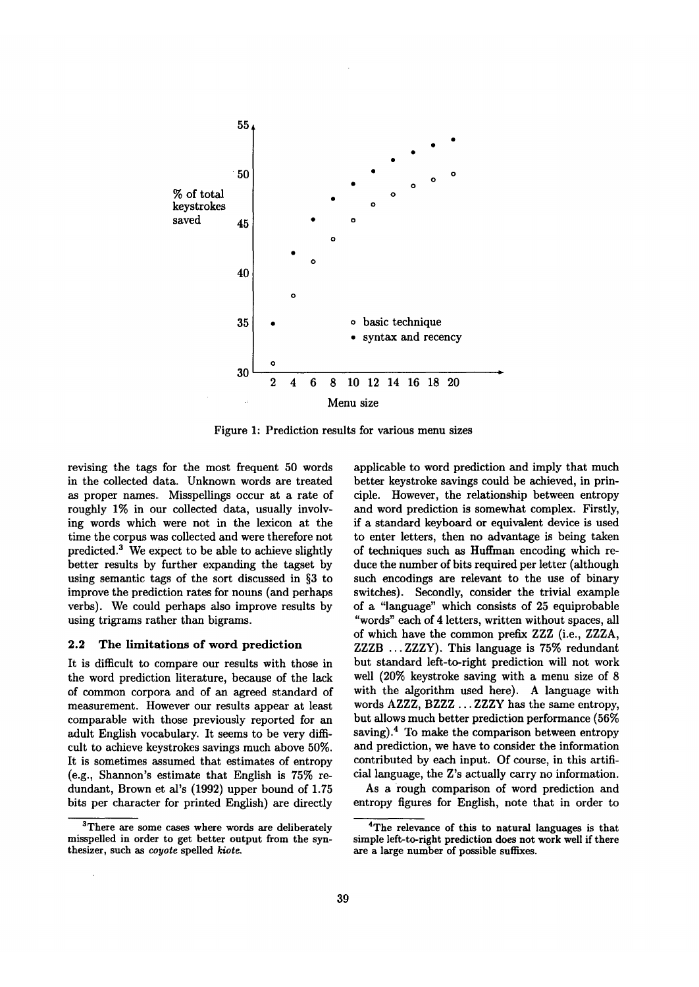

Figure 1: Prediction results for various menu sizes

revising the tags for the most frequent 50 words in the collected data. Unknown words are treated as proper names. Misspellings occur at a rate of roughly 1% in our collected data, usually involving words which were not in the lexicon at the time the corpus was collected and were therefore not predicted.<sup>3</sup> We expect to be able to achieve slightly better results by further expanding the tagset by using semantic tags of the sort discussed in §3 to improve the prediction rates for nouns (and perhaps verbs). We could perhaps also improve results by using trigrams rather than bigrams.

#### 2.2 The limitations of word prediction

It is difficult to compare our results with those in the word prediction literature, because of the lack of common corpora and of an agreed standard of measurement. However our results appear at least comparable with those previously reported for an adult English vocabulary. It seems to be very difficult to achieve keystrokes savings much above 50%. It is sometimes assumed that estimates of entropy (e.g., Shannon's estimate that English is 75% redundant, Brown et al's (1992) upper bound of 1.75 bits per character for printed English) are directly

applicable to word prediction and imply that much better keystroke savings could be achieved, in principle. However, the relationship between entropy and word prediction is somewhat complex. Firstly, if a standard keyboard or equivalent device is used to enter letters, then no advantage is being taken of techniques such as Huffman encoding which reduce the number of bits required per letter (although such encodings are relevant to the use of binary switches). Secondly, consider the trivial example of a "language" which consists of 25 equiprobable "words" each of 4 letters, written without spaces, all of which have the common prefix ZZZ (i.e., ZZZA, ZZZB ... ZZZY). This language is 75% redundant but standard left-to-right prediction will not work well (20% keystroke saving with a menu size of 8 with the algorithm used here). A language with words AZZZ, BZZZ ... ZZZY has the same entropy, but allows much better prediction performance (56% saving). $4$  To make the comparison between entropy and prediction, we have to consider the information contributed by each input. Of course, in this artificial language, the Z's actually carry no information.

As a rough comparison of word prediction and entropy figures for English, note that in order to

<sup>&</sup>lt;sup>3</sup>There are some cases where words are deliberately misspelled in order to get better output from the synthesizer, such as *coyote* spelled *kiote.* 

**<sup>4</sup>The relevance of this to natural** languages is **that**  simple left-to-right prediction **does not** work well if there are a large number of possible suffixes.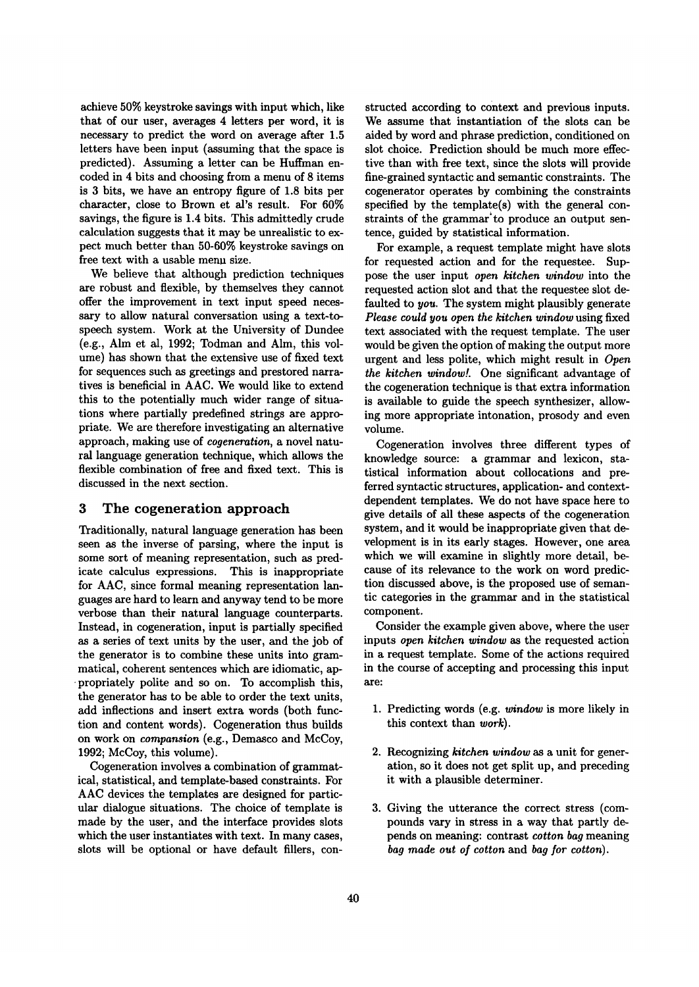achieve 50% keystroke savings with input which, like that of our user, averages 4 letters per word, it is necessary to predict the word on average after 1.5 letters have been input (assuming that the space is predicted). Assuming a letter can be Huffman encoded in 4 bits and choosing from a menu of 8 items is 3 bits, we have an entropy figure of 1.8 bits per character, close to Brown et al's result. For 60% savings, the figure is 1.4 bits. This admittedly crude calculation suggests that it may be unrealistic to expect much better than 50-60% keystroke savings on free text with a usable menu size.

We believe that although prediction techniques are robust and flexible, by themselves they cannot offer the improvement in text input speed necessary to allow natural conversation using a text-tospeech system. Work at the University of Dundee (e.g., Aim et al, 1992; Todman and Alm, this volume) has shown that the extensive use of fixed text for sequences such as greetings and prestored narratives is beneficial in AAC. We would like to extend this to the potentially much wider range of situations where partially predefined strings are appropriate. We are therefore investigating an alternative approach, making use of *cogeneration,* a novel natural language generation technique, which allows the flexible combination of free and fixed text. This is discussed in the next section.

# 3 The cogeneration approach

Traditionally, natural language generation has been seen as the inverse of parsing, where the input is some sort of meaning representation, such as predicate calculus expressions. This is inappropriate for AAC, since formal meaning representation languages are hard to learn and anyway tend to be more verbose than their natural language counterparts. Instead, in cogeneration, input is partially specified as a series of text units by the user, and the job of the generator is to combine these units into grammatical, coherent sentences which are idiomatic, ap- -propriately polite and so on. To accomplish this, the generator has to be able to order the text units, add inflections and insert extra words (both function and content words). Cogeneration thus builds on work on *compansion* (e.g., Demasco and McCoy, 1992; McCoy, this volume).

Cogeneration involves a combination of grammatical, statistical, and template-based constraints. For AAC devices the templates are designed for particular dialogue situations. The choice of template is made by the user, and the interface provides slots which the user instantiates with text. In many cases, slots will be optional or have default fillers, constructed according to context and previous inputs. We assume that instantiation of the slots can be aided by word and phrase prediction, conditioned on slot choice. Prediction should be much more effective than with free text, since the slots will provide fine-grained syntactic and semantic constraints. The cogenerator operates by combining the constraints specified by the template(s) with the general constraints of the grammar'to produce an output sentence, guided by statistical information.

For example, a request template might have slots for requested action and for the requestee. Suppose the user input *open kitchen window* into the requested action slot and that the requestee slot defaulted to *you*. The system might plausibly generate *Please could you open the kitchen window* using fixed text associated with the request template. The user would be given the option of making the output more urgent and less polite, which might result in *Open*  the kitchen window! One significant advantage of the cogeneration technique is that extra information is available to guide the speech synthesizer, allowing more appropriate intonation, prosody and even volume.

Cogeneration involves three different types of knowledge source: a grammar and lexicon, statistical information about collocations and preferred syntactic structures, application- and contextdependent templates. We do not have space here to give details of all these aspects of the cogeneration system, and it would be inappropriate given that development is in its early stages. However, one area which we will examine in slightly more detail, because of its relevance to the work on word prediction discussed above, is the proposed use of semantic categories in the grammar and in the statistical component.

Consider the example given above, where the user inputs *open kitchen window as* the requested action in a request template. Some of the actions required in the course of accepting and processing this input are:

- 1. Predicting words (e.g. *window* is more likely in this context than *work).*
- . Recognizing *kitchen window* as a unit for generation , so it does not get split up, and preceding it with a plausible determiner.
- *.* Giving the utterance the correct stress (compounds vary in stress in a way that partly depends on meaning: contrast *cotton bag* meaning *bag made out of cotton* and *bag for cotton).*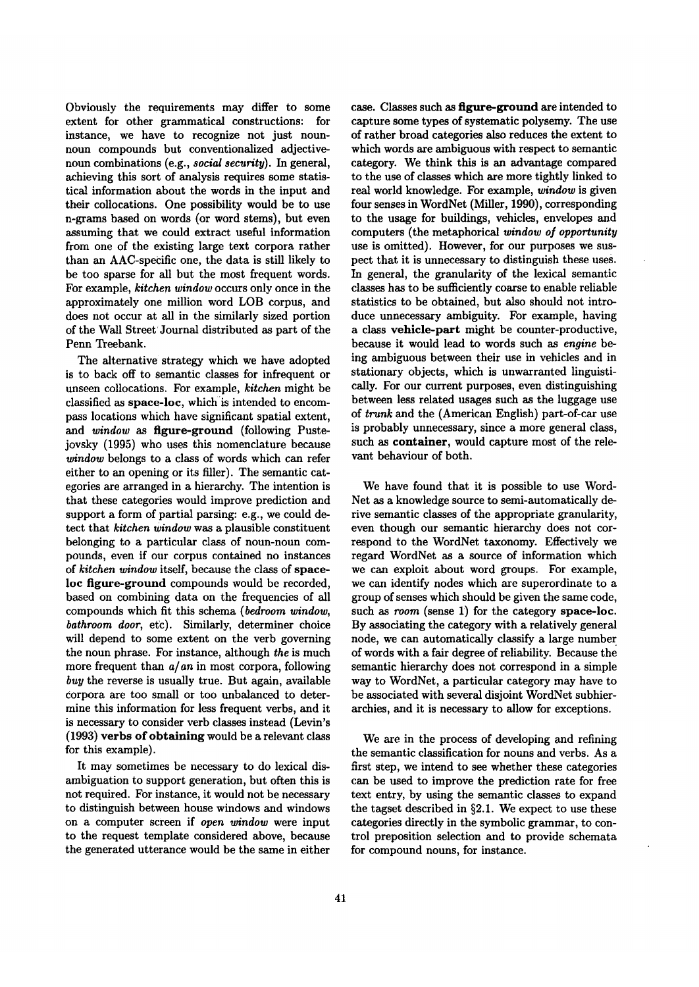Obviously the requirements may differ to some extent for other grammatical constructions: for instance, we have to recognize not just nounnoun compounds but conventionalized adjectivenoun combinations (e.g., *social security).* In general, achieving this sort of analysis requires some statistical information about the words in the input and their collocations. One possibility would be to use n-grams based on words (or word stems), but even assuming that we could extract useful information from one of the existing large text corpora rather than an AAC-specific one, the data is still likely to be too sparse for all but the most frequent words. For example, *kitchen window* occurs only once in the approximately one million word LOB corpus, and does not occur at all in the similarly sized portion of the Wall Street' Journal distributed as part of the Penn Treebank.

The alternative strategy which we have adopted is to back off to semantic classes for infrequent or unseen collocations. For example, *kitchen* might be classified as space-loc, which is intended to encompass locations which have significant spatial extent, *and window as* figure-ground (following Pustejovsky (1995) who uses this nomenclature because *window* belongs to a class of words which can refer either to an opening or its filler). The semantic categories are arranged in a hierarchy. The intention is that these categories would improve prediction and support a form of partial parsing: e.g., we could detect that *kitchen window* was a plausible constituent belonging to a particular class of noun-noun compounds, even if our corpus contained no instances of *kitchen window* itself, because the class of spaceloc figure-ground compounds would be recorded, based on combining data on the frequencies of all compounds which fit this schema *(bedroom window, bathroom door,* etc). Similarly, determiner choice will depend to some extent on the verb governing the noun phrase. For instance, although *the* is much more frequent than *a/an* in most corpora, following *buy* the reverse is usually true. But again, available corpora are too small or too unbalanced to determine this information for less frequent verbs, and it is necessary to consider verb classes instead (Levin's (1993) verbs of obtaining would be a relevant class for this example).

It may sometimes be necessary to do lexical disambiguation to support generation, but often this is not required. For instance, it would not be necessary to distinguish between house windows and windows on a computer screen if *open window* were input to the request template considered above, because the generated utterance would be the same in either case. Classes such as figure-ground are intended to capture some types of systematic polysemy. The use of rather broad categories also reduces the extent to which words are ambiguous with respect to semantic category. We think this is an advantage compared to the use of classes which are more tightly linked to real world knowledge. For example, *window* is given four senses in WordNet (Miller, 1990), corresponding to the usage for buildings, vehicles, envelopes and computers (the metaphorical *window o/opportunity*  use is omitted). However, for our purposes we suspect that it is unnecessary to distinguish these uses. In general, the granularity of the lexical semantic classes has to be sufficiently coarse to enable reliable statistics to be obtained, but also should not introduce unnecessary ambiguity. For example, having a class vehicle-part might be counter-productive, because it would lead to words such as *engine be*ing ambiguous between their use in vehicles and in stationary objects, which is unwarranted linguistically. For our current purposes, even distinguishing between less related usages such as the luggage use of *trunk* and the (American English) part-of-car use is probably unnecessary, since a more general class, such as container, would capture most of the relevant behaviour of both.

We have found that it is possible to use Word-Net as a knowledge source to semi-automatically derive semantic classes of the appropriate granularity, even though our semantic hierarchy does not correspond to the WordNet taxonomy. Effectively we regard WordNet as a source of information which we can exploit about word groups. For example, we can identify nodes which are superordinate to a group of senses which should be given the same code, such as *room* (sense 1) for the category space-loc. By associating the category with a relatively general node, we can automatically classify a large number of words with a fair degree of reliability. Because the semantic hierarchy does not correspond in a simple way to WordNet, a particular category may have to be associated with several disjoint WordNet subhierarchies, and it is necessary to allow for exceptions.

We are in the process of developing and refining the semantic classification for nouns and verbs. As a first step, we intend to see whether these categories can be used to improve the prediction rate for free text entry, by using the semantic classes to expand the tagset described in §2.1. We expect to use these categories directly in the symbolic grammar, to control preposition selection and to provide schemata for compound nouns, for instance.